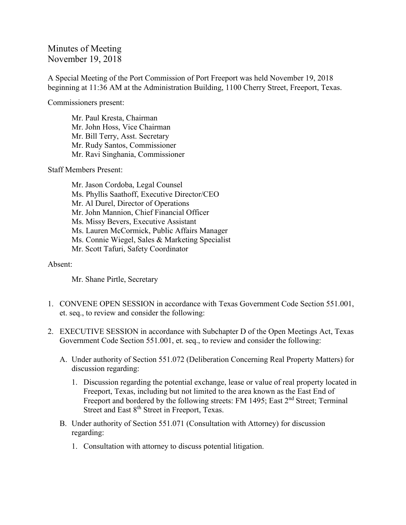## Minutes of Meeting November 19, 2018

A Special Meeting of the Port Commission of Port Freeport was held November 19, 2018 beginning at 11:36 AM at the Administration Building, 1100 Cherry Street, Freeport, Texas.

Commissioners present:

Mr. Paul Kresta, Chairman Mr. John Hoss, Vice Chairman Mr. Bill Terry, Asst. Secretary Mr. Rudy Santos, Commissioner Mr. Ravi Singhania, Commissioner

Staff Members Present:

Mr. Jason Cordoba, Legal Counsel Ms. Phyllis Saathoff, Executive Director/CEO Mr. Al Durel, Director of Operations Mr. John Mannion, Chief Financial Officer Ms. Missy Bevers, Executive Assistant Ms. Lauren McCormick, Public Affairs Manager Ms. Connie Wiegel, Sales & Marketing Specialist Mr. Scott Tafuri, Safety Coordinator

## Absent:

Mr. Shane Pirtle, Secretary

- 1. CONVENE OPEN SESSION in accordance with Texas Government Code Section 551.001, et. seq., to review and consider the following:
- 2. EXECUTIVE SESSION in accordance with Subchapter D of the Open Meetings Act, Texas Government Code Section 551.001, et. seq., to review and consider the following:
	- A. Under authority of Section 551.072 (Deliberation Concerning Real Property Matters) for discussion regarding:
		- 1. Discussion regarding the potential exchange, lease or value of real property located in Freeport, Texas, including but not limited to the area known as the East End of Freeport and bordered by the following streets: FM 1495; East 2<sup>nd</sup> Street; Terminal Street and East 8<sup>th</sup> Street in Freeport, Texas.
	- B. Under authority of Section 551.071 (Consultation with Attorney) for discussion regarding:
		- 1. Consultation with attorney to discuss potential litigation.